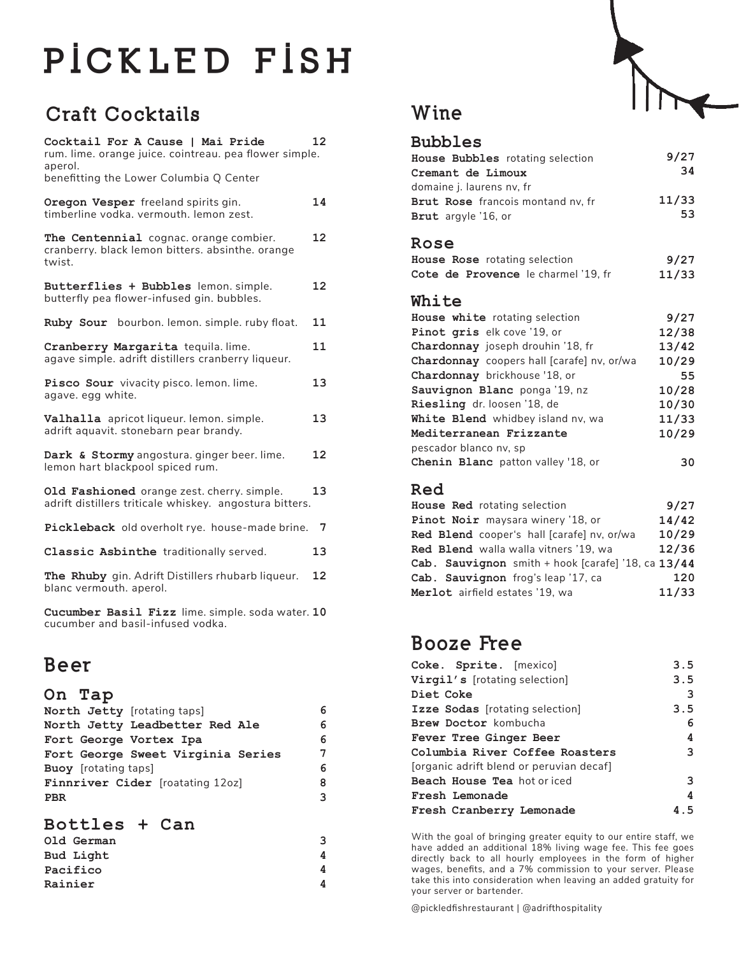# PICKLED FISH

## Craft Cocktails

| benefitting the Lower Columbia Q Center<br>14<br>12<br>12<br>11<br>11<br>agave simple. adrift distillers cranberry liqueur.<br>13<br>Pisco Sour vivacity pisco. lemon. lime.<br>13<br>12<br>13<br>adrift distillers triticale whiskey. angostura bitters.<br>7<br>13<br>12<br>Cucumber Basil Fizz lime. simple. soda water. 10 | Cocktail For A Cause   Mai Pride<br>rum. lime. orange juice. cointreau. pea flower simple.<br>aperol. | 12 |
|--------------------------------------------------------------------------------------------------------------------------------------------------------------------------------------------------------------------------------------------------------------------------------------------------------------------------------|-------------------------------------------------------------------------------------------------------|----|
|                                                                                                                                                                                                                                                                                                                                |                                                                                                       |    |
|                                                                                                                                                                                                                                                                                                                                | Oregon Vesper freeland spirits gin.<br>timberline vodka. vermouth. lemon zest.                        |    |
|                                                                                                                                                                                                                                                                                                                                | The Centennial cognac. orange combier.<br>cranberry. black lemon bitters. absinthe. orange<br>twist.  |    |
|                                                                                                                                                                                                                                                                                                                                | Butterflies + Bubbles lemon. simple.<br>butterfly pea flower-infused gin. bubbles.                    |    |
|                                                                                                                                                                                                                                                                                                                                | Ruby Sour bourbon. lemon. simple. ruby float.                                                         |    |
|                                                                                                                                                                                                                                                                                                                                | Cranberry Margarita tequila. lime.                                                                    |    |
|                                                                                                                                                                                                                                                                                                                                | agave, egg white.                                                                                     |    |
|                                                                                                                                                                                                                                                                                                                                | Valhalla apricot liqueur. lemon. simple.<br>adrift aquavit. stonebarn pear brandy.                    |    |
|                                                                                                                                                                                                                                                                                                                                | Dark & Stormy angostura. ginger beer. lime.<br>lemon hart blackpool spiced rum.                       |    |
|                                                                                                                                                                                                                                                                                                                                | Old Fashioned orange zest. cherry. simple.                                                            |    |
|                                                                                                                                                                                                                                                                                                                                | Pickleback old overholt rye. house-made brine.                                                        |    |
|                                                                                                                                                                                                                                                                                                                                | Classic Asbinthe traditionally served.                                                                |    |
|                                                                                                                                                                                                                                                                                                                                | The Rhuby gin. Adrift Distillers rhubarb liqueur.<br>blanc vermouth. aperol.                          |    |
|                                                                                                                                                                                                                                                                                                                                | cucumber and basil-infused vodka.                                                                     |    |

## Beer

#### **On Tap**

| North Jetty [rotating taps]             | 6 |
|-----------------------------------------|---|
| North Jetty Leadbetter Red Ale          | 6 |
| Fort George Vortex Ipa                  | 6 |
| Fort George Sweet Virginia Series       | 7 |
| <b>Buoy</b> [rotating taps]             | 6 |
| <b>Finnriver Cider</b> [roatating 12oz] | 8 |
| <b>PBR</b>                              | ঽ |
|                                         |   |

#### **Bottles + Can**

| Old German |   |
|------------|---|
| Bud Light  | 4 |
| Pacifico   | 4 |
| Rainier    | 4 |
|            |   |

## Wine

#### **Bubbles**

| <b>House Bubbles</b> rotating selection    | 9/27  |
|--------------------------------------------|-------|
| Cremant de Limoux                          | 34    |
| domaine j. laurens nv, fr                  |       |
| Brut Rose francois montand nv, fr          | 11/33 |
| <b>Brut</b> argyle '16, or                 | 53    |
|                                            |       |
| Rose                                       |       |
| <b>House Rose</b> rotating selection       | 9/27  |
| Cote de Provence le charmel '19, fr        | 11/33 |
|                                            |       |
| White                                      |       |
| <b>House white</b> rotating selection      | 9/27  |
| Pinot gris elk cove '19, or                | 12/38 |
| Chardonnay joseph drouhin '18, fr          | 13/42 |
| Chardonnay coopers hall [carafe] nv, or/wa | 10/29 |
| Chardonnay brickhouse '18, or              | 55    |
| Sauvignon Blanc ponga '19, nz              | 10/28 |
| Riesling dr. loosen '18, de                | 10/30 |
| White Blend whidbey island nv, wa          | 11/33 |
| Mediterranean Frizzante                    | 10/29 |
| pescador blanco nv, sp                     |       |
| <b>Chenin Blanc</b> patton valley '18, or  | 30    |
|                                            |       |

#### **Red**

| <b>House Red</b> rotating selection                    | 9/27  |
|--------------------------------------------------------|-------|
| Pinot Noir maysara winery '18, or                      | 14/42 |
| <b>Red Blend</b> cooper's hall [carafe] nv, or/wa      | 10/29 |
| Red Blend walla walla vitners '19, wa                  | 12/36 |
| Cab. Sauvignon smith $+$ hook [carafe] '18, ca $13/44$ |       |
| Cab. Sauvignon frog's leap '17, ca                     | 120   |
| <b>Merlot</b> airfield estates '19, wa                 | 11/33 |

### Booze Free

| Coke. Sprite. [mexico]                   | 3.5 |
|------------------------------------------|-----|
| <b>Virgil's</b> [rotating selection]     | 3.5 |
| Diet Coke                                | 3   |
| <b>Izze Sodas</b> [rotating selection]   | 3.5 |
| <b>Brew Doctor kombucha</b>              | 6   |
| Fever Tree Ginger Beer                   | 4   |
| Columbia River Coffee Roasters           | 3   |
| [organic adrift blend or peruvian decaf] |     |
| Beach House Tea hot or iced              | 3   |
| Fresh Lemonade                           | 4   |
| Fresh Cranberry Lemonade                 | 4.5 |

With the goal of bringing greater equity to our entire staff, we have added an additional 18% living wage fee. This fee goes directly back to all hourly employees in the form of higher wages, benefits, and a 7% commission to your server. Please take this into consideration when leaving an added gratuity for your server or bartender.

@pickledfishrestaurant | @adrifthospitality